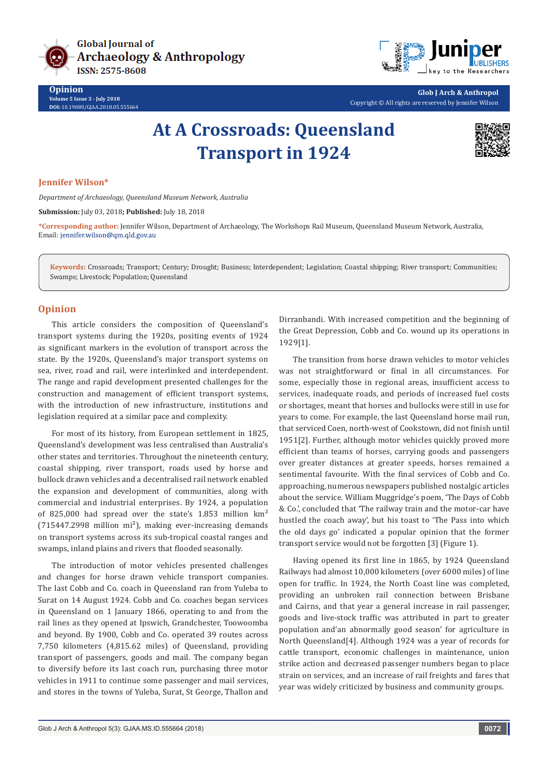

**Opinion Volume 5 Issue 3 - July 2018 DOI:** [10.19080/GJAA.2018.05.555664](http://dx.doi.org/10.19080/GJAA.2018.05.555664)



**Glob J Arch & Anthropol** Copyright © All rights are reserved by Jennifer Wilson

# **At A Crossroads: Queensland Transport in 1924**



### **Jennifer Wilson\***

*Department of Archaeology, Queensland Museum Network, Australia*

**Submission:** July 03, 2018**; Published:** July 18, 2018

**\*Corresponding author:** Jennifer Wilson, Department of Archaeology, The Workshops Rail Museum, Queensland Museum Network, Australia, Email: jennifer.wilson@qm.qld.gov.au

**Keywords:** Crossroads; Transport; Century; Drought; Business; Interdependent; Legislation; Coastal shipping; River transport; Communities; Swamps; Livestock; Population; Queensland

## **Opinion**

This article considers the composition of Queensland's transport systems during the 1920s, positing events of 1924 as significant markers in the evolution of transport across the state. By the 1920s, Queensland's major transport systems on sea, river, road and rail, were interlinked and interdependent. The range and rapid development presented challenges for the construction and management of efficient transport systems, with the introduction of new infrastructure, institutions and legislation required at a similar pace and complexity.

For most of its history, from European settlement in 1825, Queensland's development was less centralised than Australia's other states and territories. Throughout the nineteenth century, coastal shipping, river transport, roads used by horse and bullock drawn vehicles and a decentralised rail network enabled the expansion and development of communities, along with commercial and industrial enterprises. By 1924, a population of 825,000 had spread over the state's 1.853 million km²  $(715447.2998$  million mi<sup>2</sup>), making ever-increasing demands on transport systems across its sub-tropical coastal ranges and swamps, inland plains and rivers that flooded seasonally.

The introduction of motor vehicles presented challenges and changes for horse drawn vehicle transport companies. The last Cobb and Co. coach in Queensland ran from Yuleba to Surat on 14 August 1924. Cobb and Co. coaches began services in Queensland on 1 January 1866, operating to and from the rail lines as they opened at Ipswich, Grandchester, Toowoomba and beyond. By 1900, Cobb and Co. operated 39 routes across 7,750 kilometers (4,815.62 miles) of Queensland, providing transport of passengers, goods and mail. The company began to diversify before its last coach run, purchasing three motor vehicles in 1911 to continue some passenger and mail services, and stores in the towns of Yuleba, Surat, St George, Thallon and

Dirranbandi. With increased competition and the beginning of the Great Depression, Cobb and Co. wound up its operations in 1929[1].

The transition from horse drawn vehicles to motor vehicles was not straightforward or final in all circumstances. For some, especially those in regional areas, insufficient access to services, inadequate roads, and periods of increased fuel costs or shortages, meant that horses and bullocks were still in use for years to come. For example, the last Queensland horse mail run, that serviced Coen, north-west of Cookstown, did not finish until 1951[2]. Further, although motor vehicles quickly proved more efficient than teams of horses, carrying goods and passengers over greater distances at greater speeds, horses remained a sentimental favourite. With the final services of Cobb and Co. approaching, numerous newspapers published nostalgic articles about the service. William Muggridge's poem, 'The Days of Cobb & Co.', concluded that 'The railway train and the motor-car have hustled the coach away', but his toast to 'The Pass into which the old days go' indicated a popular opinion that the former transport service would not be forgotten [3] (Figure 1).

Having opened its first line in 1865, by 1924 Queensland Railways had almost 10,000 kilometers (over 6000 miles) of line open for traffic. In 1924, the North Coast line was completed, providing an unbroken rail connection between Brisbane and Cairns, and that year a general increase in rail passenger, goods and live-stock traffic was attributed in part to greater population and'an abnormally good season' for agriculture in North Queensland[4]. Although 1924 was a year of records for cattle transport, economic challenges in maintenance, union strike action and decreased passenger numbers began to place strain on services, and an increase of rail freights and fares that year was widely criticized by business and community groups.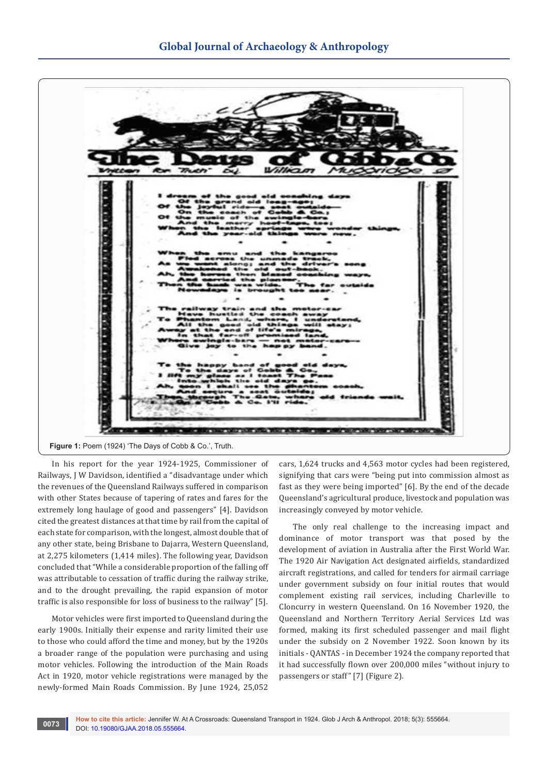

In his report for the year 1924-1925, Commissioner of Railways, J W Davidson, identified a "disadvantage under which the revenues of the Queensland Railways suffered in comparison with other States because of tapering of rates and fares for the extremely long haulage of good and passengers" [4]. Davidson cited the greatest distances at that time by rail from the capital of each state for comparison, with the longest, almost double that of any other state, being Brisbane to Dajarra, Western Queensland, at 2,275 kilometers (1,414 miles). The following year, Davidson concluded that "While a considerable proportion of the falling off was attributable to cessation of traffic during the railway strike, and to the drought prevailing, the rapid expansion of motor traffic is also responsible for loss of business to the railway" [5].

Motor vehicles were first imported to Queensland during the early 1900s. Initially their expense and rarity limited their use to those who could afford the time and money, but by the 1920s a broader range of the population were purchasing and using motor vehicles. Following the introduction of the Main Roads Act in 1920, motor vehicle registrations were managed by the newly-formed Main Roads Commission. By June 1924, 25,052

cars, 1,624 trucks and 4,563 motor cycles had been registered, signifying that cars were "being put into commission almost as fast as they were being imported" [6]. By the end of the decade Queensland's agricultural produce, livestock and population was increasingly conveyed by motor vehicle.

The only real challenge to the increasing impact and dominance of motor transport was that posed by the development of aviation in Australia after the First World War. The 1920 Air Navigation Act designated airfields, standardized aircraft registrations, and called for tenders for airmail carriage under government subsidy on four initial routes that would complement existing rail services, including Charleville to Cloncurry in western Queensland. On 16 November 1920, the Queensland and Northern Territory Aerial Services Ltd was formed, making its first scheduled passenger and mail flight under the subsidy on 2 November 1922. Soon known by its initials - QANTAS - in December 1924 the company reported that it had successfully flown over 200,000 miles "without injury to passengers or staff" [7] (Figure 2).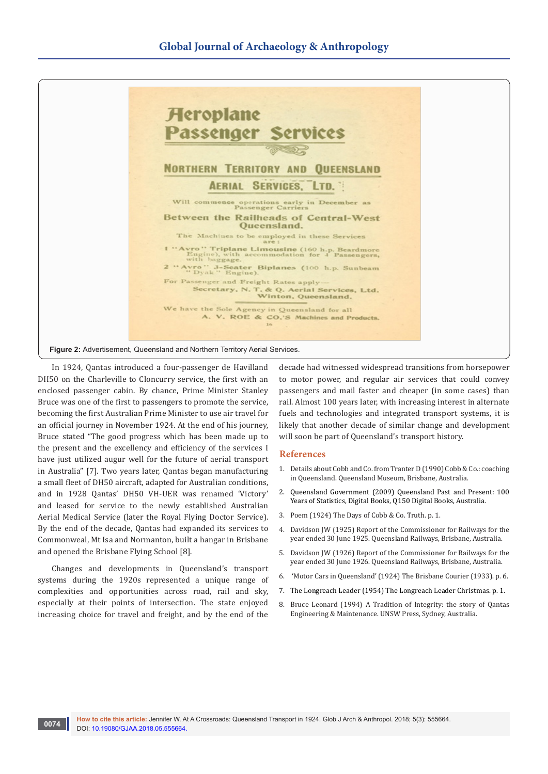

In 1924, Qantas introduced a four-passenger de Havilland DH50 on the Charleville to Cloncurry service, the first with an enclosed passenger cabin. By chance, Prime Minister Stanley Bruce was one of the first to passengers to promote the service, becoming the first Australian Prime Minister to use air travel for an official journey in November 1924. At the end of his journey, Bruce stated "The good progress which has been made up to the present and the excellency and efficiency of the services I have just utilized augur well for the future of aerial transport in Australia" [7]. Two years later, Qantas began manufacturing a small fleet of DH50 aircraft, adapted for Australian conditions, and in 1928 Qantas' DH50 VH-UER was renamed 'Victory' and leased for service to the newly established Australian Aerial Medical Service (later the Royal Flying Doctor Service). By the end of the decade, Qantas had expanded its services to Commonweal, Mt Isa and Normanton, built a hangar in Brisbane and opened the Brisbane Flying School [8].

Changes and developments in Queensland's transport systems during the 1920s represented a unique range of complexities and opportunities across road, rail and sky, especially at their points of intersection. The state enjoyed increasing choice for travel and freight, and by the end of the

decade had witnessed widespread transitions from horsepower to motor power, and regular air services that could convey passengers and mail faster and cheaper (in some cases) than rail. Almost 100 years later, with increasing interest in alternate fuels and technologies and integrated transport systems, it is likely that another decade of similar change and development will soon be part of Queensland's transport history.

#### **References**

- 1. Details about Cobb and Co. from Tranter D (1990) Cobb & Co.: coaching in Queensland. Queensland Museum, Brisbane, Australia.
- 2. Queensland Government (2009) Queensland Past and Present: 100 Years of Statistics, Digital Books, Q150 Digital Books, Australia.
- 3. Poem (1924) The Days of Cobb & Co. Truth. p. 1.
- 4. Davidson JW (1925) Report of the Commissioner for Railways for the year ended 30 June 1925. Queensland Railways, Brisbane, Australia.
- 5. Davidson JW (1926) Report of the Commissioner for Railways for the year ended 30 June 1926. Queensland Railways, Brisbane, Australia.
- 6. 'Motor Cars in Queensland' (1924) The Brisbane Courier (1933). p. 6.
- 7. The Longreach Leader (1954) The Longreach Leader Christmas. p. 1.
- 8. Bruce Leonard (1994) A Tradition of Integrity: the story of Qantas Engineering & Maintenance. UNSW Press, Sydney, Australia.